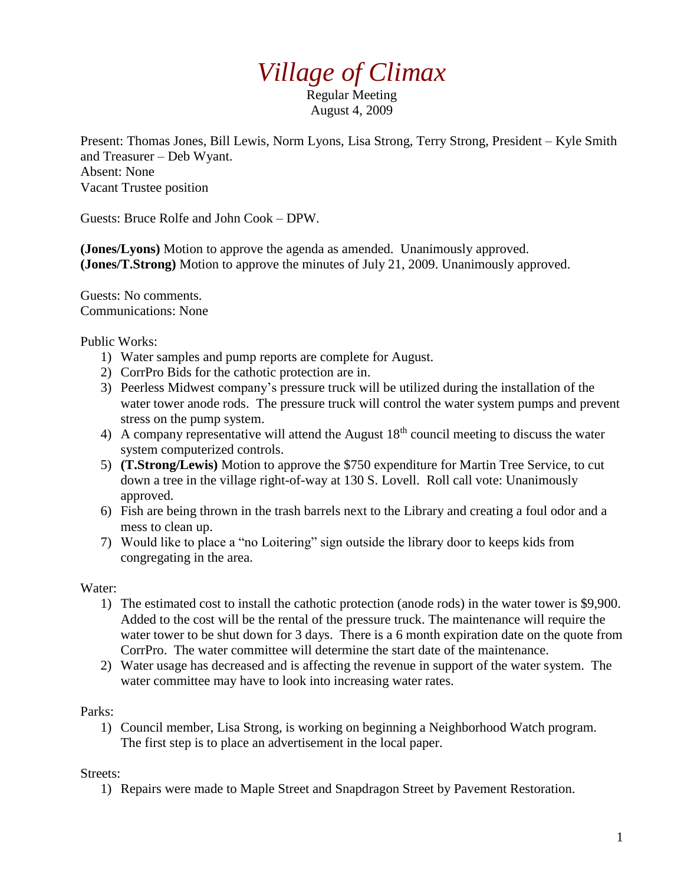## *Village of Climax*

Regular Meeting August 4, 2009

Present: Thomas Jones, Bill Lewis, Norm Lyons, Lisa Strong, Terry Strong, President – Kyle Smith and Treasurer – Deb Wyant. Absent: None Vacant Trustee position

Guests: Bruce Rolfe and John Cook – DPW.

**(Jones/Lyons)** Motion to approve the agenda as amended. Unanimously approved. **(Jones/T.Strong)** Motion to approve the minutes of July 21, 2009. Unanimously approved.

Guests: No comments. Communications: None

Public Works:

- 1) Water samples and pump reports are complete for August.
- 2) CorrPro Bids for the cathotic protection are in.
- 3) Peerless Midwest company's pressure truck will be utilized during the installation of the water tower anode rods. The pressure truck will control the water system pumps and prevent stress on the pump system.
- 4) A company representative will attend the August  $18<sup>th</sup>$  council meeting to discuss the water system computerized controls.
- 5) **(T.Strong/Lewis)** Motion to approve the \$750 expenditure for Martin Tree Service, to cut down a tree in the village right-of-way at 130 S. Lovell. Roll call vote: Unanimously approved.
- 6) Fish are being thrown in the trash barrels next to the Library and creating a foul odor and a mess to clean up.
- 7) Would like to place a "no Loitering" sign outside the library door to keeps kids from congregating in the area.

Water:

- 1) The estimated cost to install the cathotic protection (anode rods) in the water tower is \$9,900. Added to the cost will be the rental of the pressure truck. The maintenance will require the water tower to be shut down for 3 days. There is a 6 month expiration date on the quote from CorrPro. The water committee will determine the start date of the maintenance.
- 2) Water usage has decreased and is affecting the revenue in support of the water system. The water committee may have to look into increasing water rates.

Parks:

1) Council member, Lisa Strong, is working on beginning a Neighborhood Watch program. The first step is to place an advertisement in the local paper.

Streets:

1) Repairs were made to Maple Street and Snapdragon Street by Pavement Restoration.